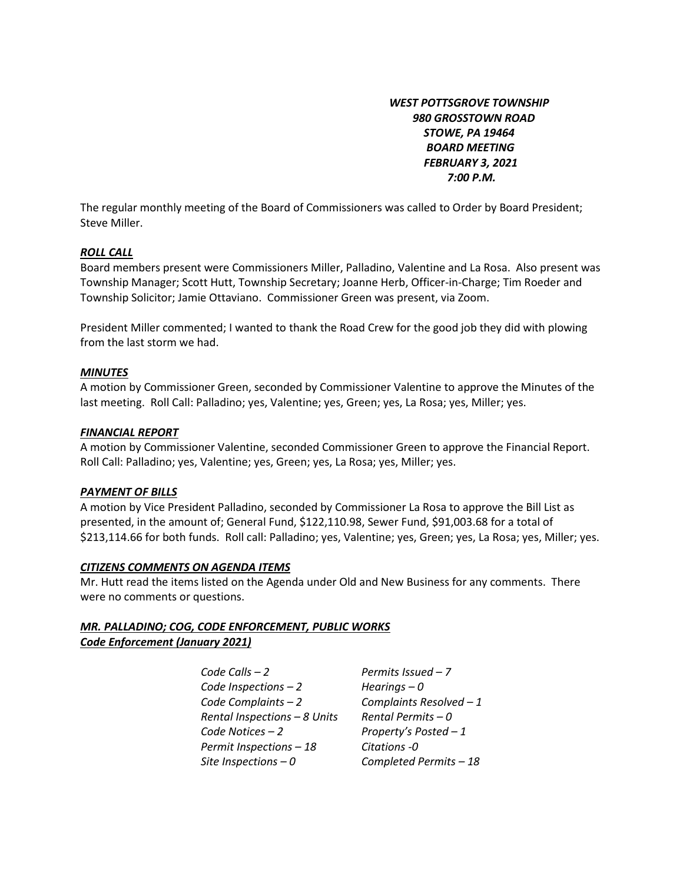*WEST POTTSGROVE TOWNSHIP 980 GROSSTOWN ROAD STOWE, PA 19464 BOARD MEETING FEBRUARY 3, 2021 7:00 P.M.* 

The regular monthly meeting of the Board of Commissioners was called to Order by Board President; Steve Miller.

### *ROLL CALL*

Board members present were Commissioners Miller, Palladino, Valentine and La Rosa. Also present was Township Manager; Scott Hutt, Township Secretary; Joanne Herb, Officer-in-Charge; Tim Roeder and Township Solicitor; Jamie Ottaviano. Commissioner Green was present, via Zoom.

President Miller commented; I wanted to thank the Road Crew for the good job they did with plowing from the last storm we had.

### *MINUTES*

A motion by Commissioner Green, seconded by Commissioner Valentine to approve the Minutes of the last meeting. Roll Call: Palladino; yes, Valentine; yes, Green; yes, La Rosa; yes, Miller; yes.

### *FINANCIAL REPORT*

A motion by Commissioner Valentine, seconded Commissioner Green to approve the Financial Report. Roll Call: Palladino; yes, Valentine; yes, Green; yes, La Rosa; yes, Miller; yes.

### *PAYMENT OF BILLS*

A motion by Vice President Palladino, seconded by Commissioner La Rosa to approve the Bill List as presented, in the amount of; General Fund, \$122,110.98, Sewer Fund, \$91,003.68 for a total of \$213,114.66 for both funds. Roll call: Palladino; yes, Valentine; yes, Green; yes, La Rosa; yes, Miller; yes.

## *CITIZENS COMMENTS ON AGENDA ITEMS*

Mr. Hutt read the items listed on the Agenda under Old and New Business for any comments. There were no comments or questions.

## *MR. PALLADINO; COG, CODE ENFORCEMENT, PUBLIC WORKS Code Enforcement (January 2021)*

*Code Calls – 2 Permits Issued – 7 Code Inspections – 2 Hearings – 0 Code Complaints – 2 Complaints Resolved – 1 Rental Inspections – 8 Units Rental Permits – 0 Code Notices – 2 Property's Posted – 1 Permit Inspections – 18 Citations -0 Site Inspections – 0 Completed Permits – 18*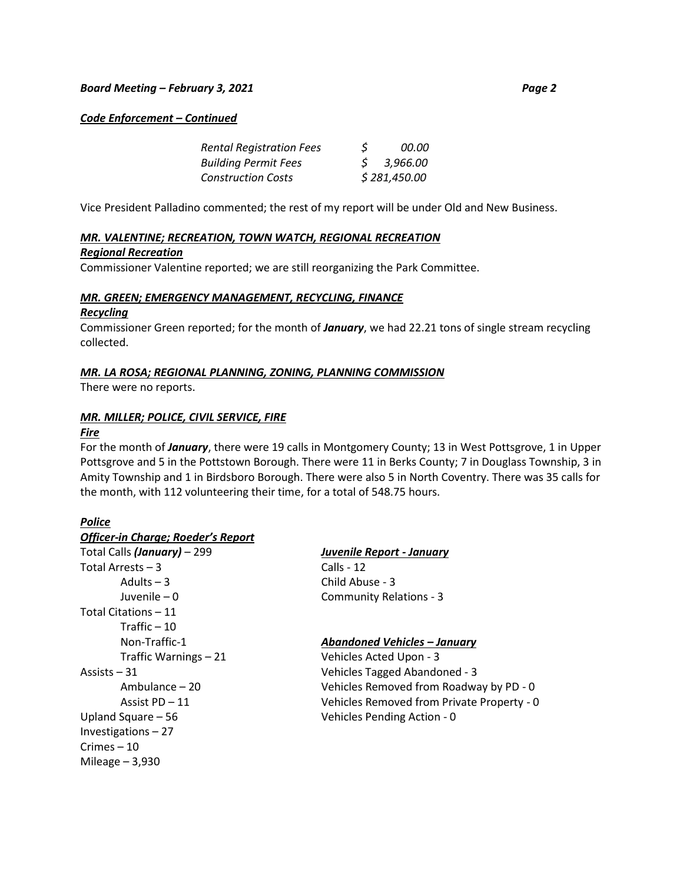### *Board Meeting – February 3, 2021 Page 2*

*Code Enforcement – Continued* 

| <b>Rental Registration Fees</b> | S            | <i>00.00</i> |
|---------------------------------|--------------|--------------|
| <b>Building Permit Fees</b>     |              | \$3,966.00   |
| <b>Construction Costs</b>       | \$281,450.00 |              |

Vice President Palladino commented; the rest of my report will be under Old and New Business.

## *MR. VALENTINE; RECREATION, TOWN WATCH, REGIONAL RECREATION*

### *Regional Recreation*

Commissioner Valentine reported; we are still reorganizing the Park Committee.

### *MR. GREEN; EMERGENCY MANAGEMENT, RECYCLING, FINANCE Recycling*

Commissioner Green reported; for the month of *January*, we had 22.21 tons of single stream recycling collected.

## *MR. LA ROSA; REGIONAL PLANNING, ZONING, PLANNING COMMISSION*

There were no reports.

## *MR. MILLER; POLICE, CIVIL SERVICE, FIRE*

### *Fire*

For the month of *January*, there were 19 calls in Montgomery County; 13 in West Pottsgrove, 1 in Upper Pottsgrove and 5 in the Pottstown Borough. There were 11 in Berks County; 7 in Douglass Township, 3 in Amity Township and 1 in Birdsboro Borough. There were also 5 in North Coventry. There was 35 calls for the month, with 112 volunteering their time, for a total of 548.75 hours.

## *Police*

| <b>Officer-in Charge; Roeder's Report</b> |                       |
|-------------------------------------------|-----------------------|
| Total Calls (January) - 299               | <b>Juvenile Repor</b> |
| Total Arrests - 3                         | Calls - 12            |
| Adults $-3$                               | Child Abuse - 3       |
| Juvenile – 0                              | Community Re          |
| Total Citations - 11                      |                       |
| Traffic $-10$                             |                       |
| Non-Traffic-1                             | <b>Abandoned Ve</b>   |
| Traffic Warnings - 21                     | <b>Vehicles Acted</b> |
| Assists – 31                              | <b>Vehicles Tagge</b> |
| Ambulance – 20                            | Vehicles Remo         |
| Assist PD - 11                            | <b>Vehicles Remo</b>  |
| Upland Square - 56                        | Vehicles Pendii       |
| Investigations-27                         |                       |
| Crimes – 10                               |                       |
| Mileage $-3,930$                          |                       |
|                                           |                       |

# Total Calls *(January)* – 299 *Juvenile Report - January*

elations - 3

## Non-Traffic-1 *Abandoned Vehicles – January*

d Upon - 3 ed Abandoned - 3 oved from Roadway by PD - 0 oved from Private Property - 0 ing Action - 0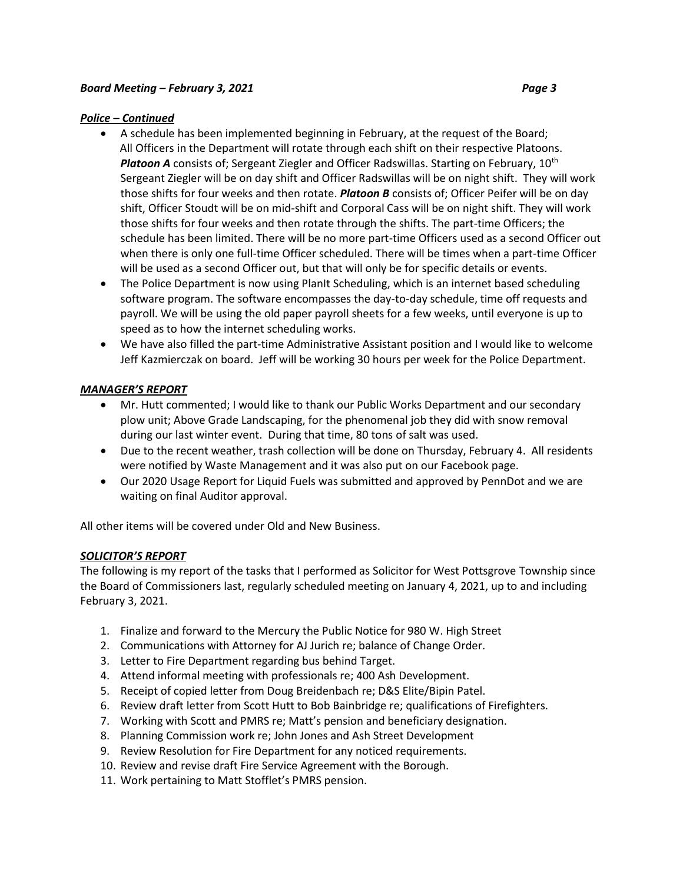## *Police – Continued*

- A schedule has been implemented beginning in February, at the request of the Board; All Officers in the Department will rotate through each shift on their respective Platoons. *Platoon A* consists of; Sergeant Ziegler and Officer Radswillas. Starting on February, 10th Sergeant Ziegler will be on day shift and Officer Radswillas will be on night shift. They will work those shifts for four weeks and then rotate. *Platoon B* consists of; Officer Peifer will be on day shift, Officer Stoudt will be on mid-shift and Corporal Cass will be on night shift. They will work those shifts for four weeks and then rotate through the shifts. The part-time Officers; the schedule has been limited. There will be no more part-time Officers used as a second Officer out when there is only one full-time Officer scheduled. There will be times when a part-time Officer will be used as a second Officer out, but that will only be for specific details or events.
- The Police Department is now using PlanIt Scheduling, which is an internet based scheduling software program. The software encompasses the day-to-day schedule, time off requests and payroll. We will be using the old paper payroll sheets for a few weeks, until everyone is up to speed as to how the internet scheduling works.
- We have also filled the part-time Administrative Assistant position and I would like to welcome Jeff Kazmierczak on board. Jeff will be working 30 hours per week for the Police Department.

## *MANAGER'S REPORT*

- Mr. Hutt commented; I would like to thank our Public Works Department and our secondary plow unit; Above Grade Landscaping, for the phenomenal job they did with snow removal during our last winter event. During that time, 80 tons of salt was used.
- Due to the recent weather, trash collection will be done on Thursday, February 4. All residents were notified by Waste Management and it was also put on our Facebook page.
- Our 2020 Usage Report for Liquid Fuels was submitted and approved by PennDot and we are waiting on final Auditor approval.

All other items will be covered under Old and New Business.

# *SOLICITOR'S REPORT*

The following is my report of the tasks that I performed as Solicitor for West Pottsgrove Township since the Board of Commissioners last, regularly scheduled meeting on January 4, 2021, up to and including February 3, 2021.

- 1. Finalize and forward to the Mercury the Public Notice for 980 W. High Street
- 2. Communications with Attorney for AJ Jurich re; balance of Change Order.
- 3. Letter to Fire Department regarding bus behind Target.
- 4. Attend informal meeting with professionals re; 400 Ash Development.
- 5. Receipt of copied letter from Doug Breidenbach re; D&S Elite/Bipin Patel.
- 6. Review draft letter from Scott Hutt to Bob Bainbridge re; qualifications of Firefighters.
- 7. Working with Scott and PMRS re; Matt's pension and beneficiary designation.
- 8. Planning Commission work re; John Jones and Ash Street Development
- 9. Review Resolution for Fire Department for any noticed requirements.
- 10. Review and revise draft Fire Service Agreement with the Borough.
- 11. Work pertaining to Matt Stofflet's PMRS pension.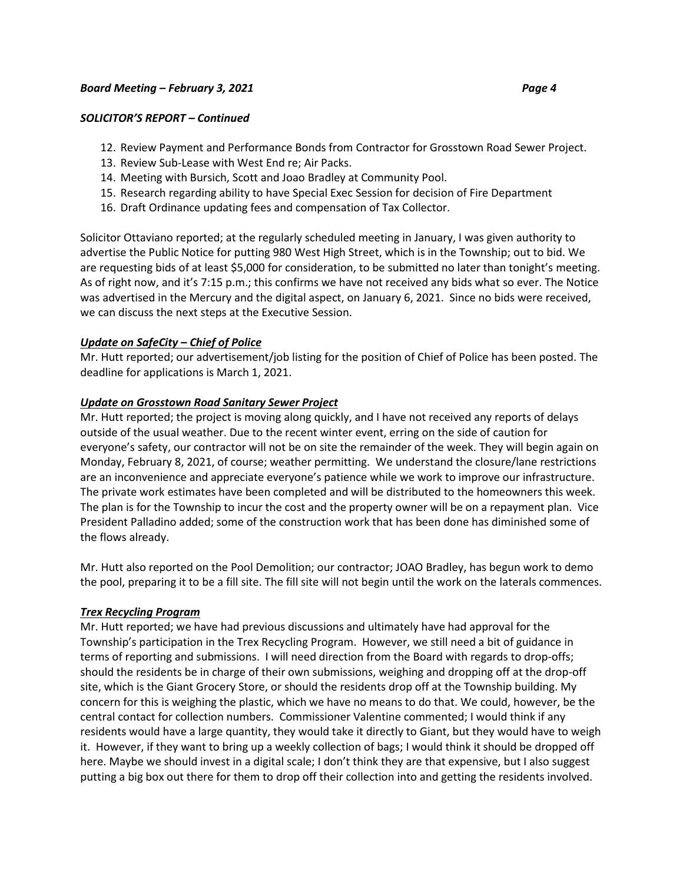### *SOLICITOR'S REPORT – Continued*

- 12. Review Payment and Performance Bonds from Contractor for Grosstown Road Sewer Project.
- 13. Review Sub-Lease with West End re; Air Packs.
- 14. Meeting with Bursich, Scott and Joao Bradley at Community Pool.
- 15. Research regarding ability to have Special Exec Session for decision of Fire Department
- 16. Draft Ordinance updating fees and compensation of Tax Collector.

Solicitor Ottaviano reported; at the regularly scheduled meeting in January, I was given authority to advertise the Public Notice for putting 980 West High Street, which is in the Township; out to bid. We are requesting bids of at least \$5,000 for consideration, to be submitted no later than tonight's meeting. As of right now, and it's 7:15 p.m.; this confirms we have not received any bids what so ever. The Notice was advertised in the Mercury and the digital aspect, on January 6, 2021. Since no bids were received, we can discuss the next steps at the Executive Session.

### *Update on SafeCity – Chief of Police*

Mr. Hutt reported; our advertisement/job listing for the position of Chief of Police has been posted. The deadline for applications is March 1, 2021.

### *Update on Grosstown Road Sanitary Sewer Project*

Mr. Hutt reported; the project is moving along quickly, and I have not received any reports of delays outside of the usual weather. Due to the recent winter event, erring on the side of caution for everyone's safety, our contractor will not be on site the remainder of the week. They will begin again on Monday, February 8, 2021, of course; weather permitting. We understand the closure/lane restrictions are an inconvenience and appreciate everyone's patience while we work to improve our infrastructure. The private work estimates have been completed and will be distributed to the homeowners this week. The plan is for the Township to incur the cost and the property owner will be on a repayment plan. Vice President Palladino added; some of the construction work that has been done has diminished some of the flows already.

Mr. Hutt also reported on the Pool Demolition; our contractor; JOAO Bradley, has begun work to demo the pool, preparing it to be a fill site. The fill site will not begin until the work on the laterals commences.

### *Trex Recycling Program*

Mr. Hutt reported; we have had previous discussions and ultimately have had approval for the Township's participation in the Trex Recycling Program. However, we still need a bit of guidance in terms of reporting and submissions. I will need direction from the Board with regards to drop-offs; should the residents be in charge of their own submissions, weighing and dropping off at the drop-off site, which is the Giant Grocery Store, or should the residents drop off at the Township building. My concern for this is weighing the plastic, which we have no means to do that. We could, however, be the central contact for collection numbers. Commissioner Valentine commented; I would think if any residents would have a large quantity, they would take it directly to Giant, but they would have to weigh it. However, if they want to bring up a weekly collection of bags; I would think it should be dropped off here. Maybe we should invest in a digital scale; I don't think they are that expensive, but I also suggest putting a big box out there for them to drop off their collection into and getting the residents involved.